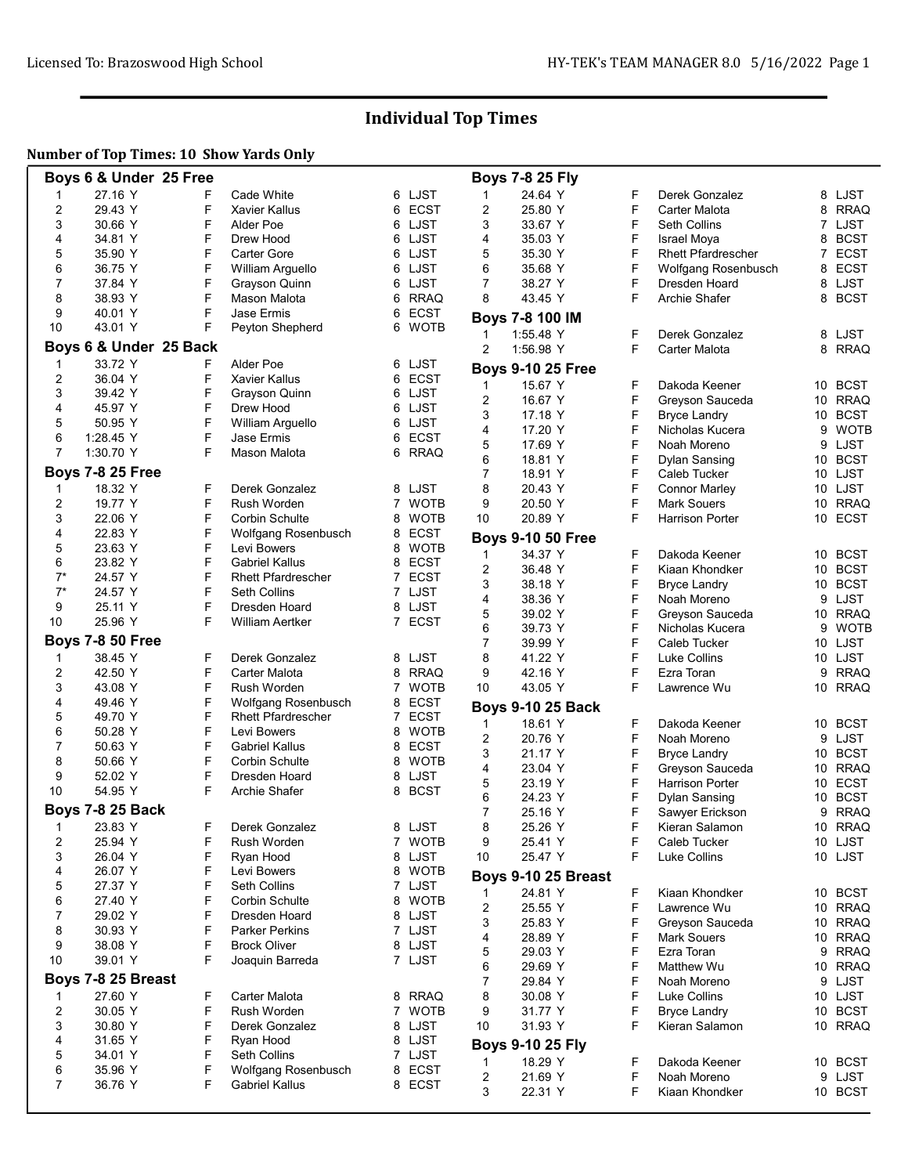# Individual Top Times

## Number of Top Times: 10 Show Yards Only

|                | Boys 6 & Under 25 Free  |        |                                 |                |                       |                               | <b>Boys 7-8 25 Fly</b>   |        |                                        |    |                        |
|----------------|-------------------------|--------|---------------------------------|----------------|-----------------------|-------------------------------|--------------------------|--------|----------------------------------------|----|------------------------|
| 1              | 27.16 Y                 |        | Cade White                      | 6              | LJST                  | 1                             | 24.64 Y                  | F      | Derek Gonzalez                         |    | 8 LJST                 |
| $\overline{2}$ | 29.43 Y                 | F      | <b>Xavier Kallus</b>            | 6              | <b>ECST</b>           | $\overline{2}$                | 25.80 Y                  | F      | <b>Carter Malota</b>                   | 8  | <b>RRAQ</b>            |
| 3              | 30.66 Y                 | F      | Alder Poe                       |                | 6 LJST                | 3                             | 33.67 Y                  | F      | Seth Collins                           |    | 7 LJST                 |
| 4              | 34.81 Y                 | F      | Drew Hood                       | 6              | LJST                  | 4                             | 35.03 Y                  | F      | <b>Israel Moya</b>                     | 8  | <b>BCST</b>            |
| 5              | 35.90 Y                 | F      | Carter Gore                     | 6              | LJST                  | 5                             | 35.30 Y                  | F      | <b>Rhett Pfardrescher</b>              | 7  | <b>ECST</b>            |
| 6              | 36.75 Y                 | F      | William Arguello                | 6.             | LJST                  | 6                             | 35.68 Y                  | F      | Wolfgang Rosenbusch                    |    | 8 ECST                 |
| 7              | 37.84 Y                 | F      | Grayson Quinn                   | 6              | LJST                  | 7                             | 38.27 Y                  | F      | Dresden Hoard                          | 8  | LJST                   |
| 8              | 38.93 Y                 | F      | Mason Malota                    | 6              | <b>RRAQ</b>           | 8                             | 43.45 Y                  | F      | <b>Archie Shafer</b>                   | 8  | <b>BCST</b>            |
| 9              | 40.01 Y                 | F      | Jase Ermis                      | 6              | <b>ECST</b>           |                               | Boys 7-8 100 IM          |        |                                        |    |                        |
| 10             | 43.01 Y                 | F      | Peyton Shepherd                 | 6              | <b>WOTB</b>           | 1                             | 1:55.48 Y                | F      | Derek Gonzalez                         |    | 8 LJST                 |
|                | Boys 6 & Under 25 Back  |        |                                 |                |                       | $\overline{2}$                | 1:56.98 Y                | F      | Carter Malota                          |    | 8 RRAQ                 |
| 1              | 33.72 Y                 | F      | Alder Poe                       |                | 6 LJST                |                               | <b>Boys 9-10 25 Free</b> |        |                                        |    |                        |
| $\overline{c}$ | 36.04 Y                 | F      | <b>Xavier Kallus</b>            | 6              | <b>ECST</b>           |                               |                          | F      |                                        |    |                        |
| 3              | 39.42 Y                 | F      | Grayson Quinn                   |                | 6 LJST                | $\mathbf 1$<br>$\overline{2}$ | 15.67 Y<br>16.67 Y       | F      | Dakoda Keener                          |    | 10 BCST<br>10 RRAQ     |
| 4              | 45.97 Y                 | F      | Drew Hood                       | 6              | LJST                  | 3                             | 17.18 Y                  | F      | Greyson Sauceda<br><b>Bryce Landry</b> | 10 | <b>BCST</b>            |
| 5              | 50.95 Y                 | F      | William Arguello                | 6              | LJST                  | 4                             | 17.20 Y                  | F      | Nicholas Kucera                        |    | 9 WOTB                 |
| 6              | 1:28.45 Y               | F      | Jase Ermis                      | 6              | <b>ECST</b>           | 5                             | 17.69 Y                  | F      | Noah Moreno                            | 9  | LJST                   |
| 7              | 1:30.70 Y               | F      | Mason Malota                    | 6              | <b>RRAQ</b>           | 6                             | 18.81 Y                  | F      | Dylan Sansing                          |    | 10 BCST                |
|                | <b>Boys 7-8 25 Free</b> |        |                                 |                |                       | 7                             | 18.91 Y                  | F      | Caleb Tucker                           |    | 10 LJST                |
| -1             | 18.32 Y                 | F      | Derek Gonzalez                  |                | 8 LJST                | 8                             | 20.43 Y                  | F      | <b>Connor Marley</b>                   |    | 10 LJST                |
| 2              | 19.77 Y                 | F      | Rush Worden                     | $\overline{7}$ | <b>WOTB</b>           | 9                             | 20.50 Y                  | F      | <b>Mark Souers</b>                     | 10 | <b>RRAQ</b>            |
| 3              | 22.06 Y                 | F      | Corbin Schulte                  | 8              | <b>WOTB</b>           | 10                            | 20.89 Y                  | F      | <b>Harrison Porter</b>                 |    | 10 ECST                |
| 4              | 22.83 Y                 | F      | Wolfgang Rosenbusch             | 8              | <b>ECST</b>           |                               |                          |        |                                        |    |                        |
| 5              | 23.63 Y                 | F      | Levi Bowers                     | 8              | <b>WOTB</b>           |                               | <b>Boys 9-10 50 Free</b> |        |                                        |    |                        |
| 6              | 23.82 Y                 | F      | <b>Gabriel Kallus</b>           | 8              | <b>ECST</b>           | 1                             | 34.37 Y                  | F      | Dakoda Keener                          |    | 10 BCST                |
| $7^*$          | 24.57 Y                 | F      | <b>Rhett Pfardrescher</b>       | 7              | ECST                  | $\overline{c}$                | 36.48 Y                  | F      | Kiaan Khondker                         | 10 | <b>BCST</b>            |
| $7^*$          | 24.57 Y                 | F      | Seth Collins                    | 7              | LJST                  | 3                             | 38.18 Y                  | F      | <b>Bryce Landry</b>                    |    | 10 BCST                |
| 9              | 25.11 Y                 | F      | Dresden Hoard                   |                | 8 LJST                | 4                             | 38.36 Y                  | F      | Noah Moreno                            |    | 9 LJST                 |
| 10             | 25.96 Y                 | F      | William Aertker                 | 7              | <b>ECST</b>           | 5                             | 39.02 Y                  | F      | Greyson Sauceda                        |    | 10 RRAQ                |
|                | <b>Boys 7-8 50 Free</b> |        |                                 |                |                       | 6                             | 39.73 Y                  | F      | Nicholas Kucera                        | 9  | <b>WOTB</b>            |
|                |                         | F      |                                 |                |                       | 7<br>8                        | 39.99 Y                  | F<br>F | <b>Caleb Tucker</b>                    |    | 10 LJST                |
| -1<br>2        | 38.45 Y<br>42.50 Y      | F      | Derek Gonzalez<br>Carter Malota |                | 8 LJST<br><b>RRAQ</b> | 9                             | 41.22 Y<br>42.16 Y       | F      | Luke Collins<br>Ezra Toran             | 9  | 10 LJST<br><b>RRAQ</b> |
| 3              | 43.08 Y                 | F      | Rush Worden                     | 8              | 7 WOTB                | 10                            | 43.05 Y                  | F      | Lawrence Wu                            |    | 10 RRAQ                |
| 4              | 49.46 Y                 | F      | Wolfgang Rosenbusch             | 8              | <b>ECST</b>           |                               |                          |        |                                        |    |                        |
| 5              | 49.70 Y                 | F      | <b>Rhett Pfardrescher</b>       | 7              | <b>ECST</b>           |                               | <b>Boys 9-10 25 Back</b> |        |                                        |    |                        |
| 6              | 50.28 Y                 | F      | Levi Bowers                     | 8              | WOTB                  | 1                             | 18.61 Y                  | F      | Dakoda Keener                          |    | 10 BCST                |
| 7              | 50.63 Y                 | F      | <b>Gabriel Kallus</b>           | 8              | <b>ECST</b>           | $\overline{2}$                | 20.76 Y                  | F      | Noah Moreno                            | 9  | LJST                   |
| 8              | 50.66 Y                 | F      | Corbin Schulte                  | 8              | <b>WOTB</b>           | 3                             | 21.17 Y                  | F      | <b>Bryce Landry</b>                    | 10 | <b>BCST</b>            |
| 9              | 52.02 Y                 | F      | Dresden Hoard                   | 8              | LJST                  | 4                             | 23.04 Y                  | F      | Greyson Sauceda                        |    | 10 RRAQ                |
| 10             | 54.95 Y                 | F      | Archie Shafer                   | 8              | <b>BCST</b>           | 5                             | 23.19 Y                  | F      | Harrison Porter                        |    | 10 ECST                |
|                |                         |        |                                 |                |                       | 6                             | 24.23 Y                  | F      | Dylan Sansing                          | 10 | <b>BCST</b>            |
|                | <b>Boys 7-8 25 Back</b> |        |                                 |                |                       | 7                             | 25.16 Y                  | F      | Sawyer Erickson                        | 9  | <b>RRAQ</b>            |
| 1              | 23.83 Y                 | F      | Derek Gonzalez                  |                | 8 LJST                | 8                             | 25.26 Y                  | F      | Kieran Salamon                         |    | 10 RRAQ                |
| 2              | 25.94 Y                 | F<br>F | Rush Worden                     | 7              | <b>WOTB</b>           | 9                             | 25.41 Y                  | F<br>F | Caleb Tucker<br><b>Luke Collins</b>    |    | 10 LJST                |
| 3              | 26.04 Y<br>26.07 Y      | F      | Ryan Hood<br>Levi Bowers        |                | 8 LJST                | 10                            | 25.47 Y                  |        |                                        |    | 10 LJST                |
| 4<br>5         | 27.37 Y                 | F      | Seth Collins                    | 8<br>7         | <b>WOTB</b><br>LJST   |                               | Boys 9-10 25 Breast      |        |                                        |    |                        |
| 6              | 27.40 Y                 | F      | Corbin Schulte                  |                | 8 WOTB                | 1                             | 24.81 Y                  | F      | Kiaan Khondker                         |    | 10 BCST                |
| 7              | 29.02 Y                 | F      | Dresden Hoard                   | 8              | LJST                  | 2                             | 25.55 Y                  | F      | Lawrence Wu                            |    | 10 RRAQ                |
| 8              | 30.93 Y                 | F      | Parker Perkins                  |                | 7 LJST                | 3                             | 25.83 Y                  | F      | Greyson Sauceda                        |    | 10 RRAQ                |
| 9              | 38.08 Y                 | F      | <b>Brock Oliver</b>             |                | 8 LJST                | 4                             | 28.89 Y                  | F      | <b>Mark Souers</b>                     |    | 10 RRAQ                |
| 10             | 39.01 Y                 | F      | Joaquin Barreda                 |                | 7 LJST                | 5                             | 29.03 Y                  | F      | Ezra Toran                             | 9  | <b>RRAQ</b>            |
|                |                         |        |                                 |                |                       | 6                             | 29.69 Y                  | F      | Matthew Wu                             |    | 10 RRAQ                |
|                | Boys 7-8 25 Breast      |        |                                 |                |                       | 7                             | 29.84 Y                  | F      | Noah Moreno                            |    | 9 LJST                 |
| -1             | 27.60 Y                 | F      | Carter Malota                   |                | 8 RRAQ                | 8                             | 30.08 Y                  | F      | Luke Collins                           |    | 10 LJST                |
| 2              | 30.05 Y                 | F      | Rush Worden                     | 7              | <b>WOTB</b>           | 9                             | 31.77 Y                  | F      | <b>Bryce Landry</b>                    |    | 10 BCST                |
| 3              | 30.80 Y                 | F      | Derek Gonzalez                  |                | 8 LJST                | 10                            | 31.93 Y                  | F      | Kieran Salamon                         |    | 10 RRAQ                |
| 4              | 31.65 Y                 | F      | Ryan Hood                       |                | 8 LJST                |                               | <b>Boys 9-10 25 Fly</b>  |        |                                        |    |                        |
| 5              | 34.01 Y                 | F      | Seth Collins                    | 7              | LJST                  | 1                             | 18.29 Y                  | F      | Dakoda Keener                          |    | 10 BCST                |
| 6              | 35.96 Y                 | F      | Wolfgang Rosenbusch             |                | 8 ECST                | $\overline{c}$                | 21.69 Y                  | F      | Noah Moreno                            |    | 9 LJST                 |
| 7              | 36.76 Y                 | F      | Gabriel Kallus                  | 8              | ECST                  | 3                             | 22.31 Y                  | F      | Kiaan Khondker                         |    | 10 BCST                |
|                |                         |        |                                 |                |                       |                               |                          |        |                                        |    |                        |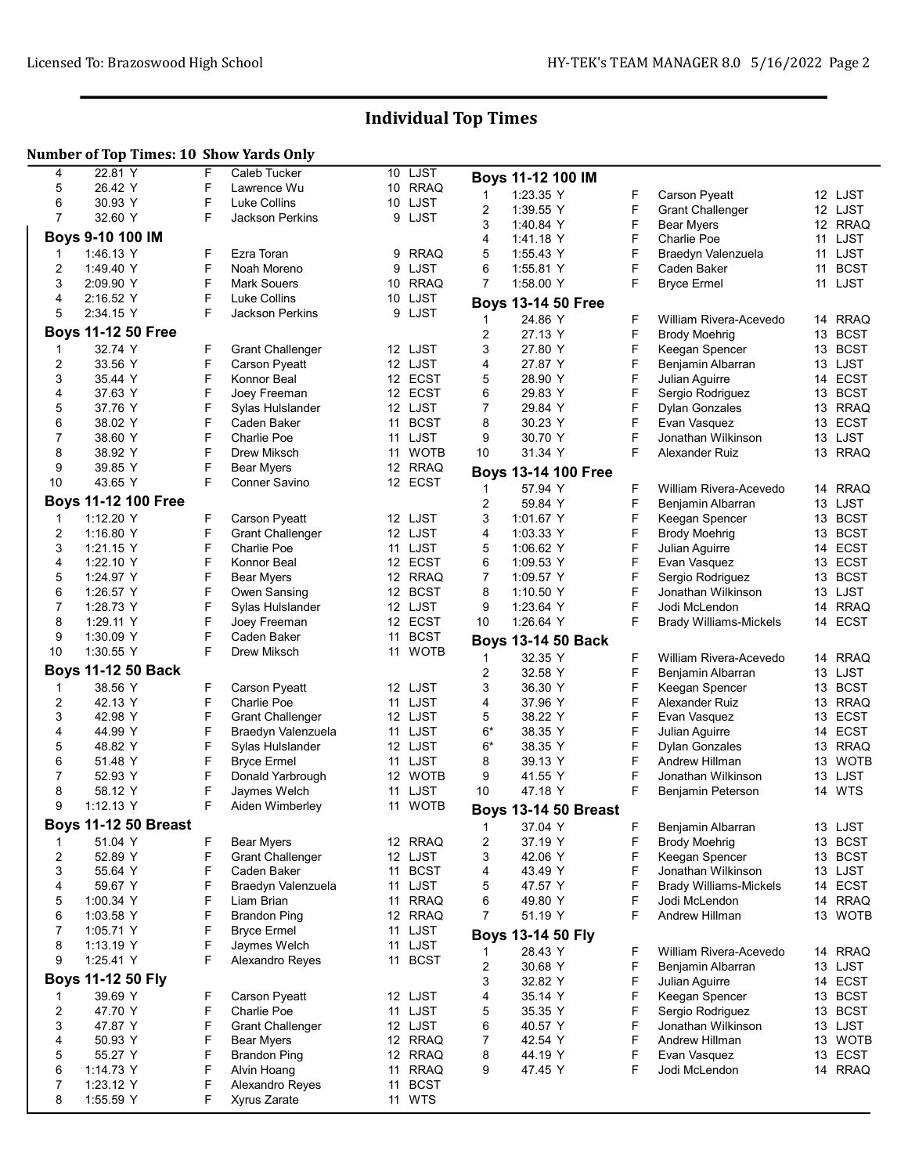# Individual Top Times

## Number of Top Times: 10 Show Yards Only

| 4              | 22.81 Y                     | F      | <b>Caleb Tucker</b>             |    | 10 LJST           |                | Boys 11-12 100 IM           |        |                                  |                    |  |
|----------------|-----------------------------|--------|---------------------------------|----|-------------------|----------------|-----------------------------|--------|----------------------------------|--------------------|--|
| 5              | 26.42 Y                     | F      | Lawrence Wu                     |    | 10 RRAQ           |                | 1:23.35 Y                   |        |                                  |                    |  |
| 6              | 30.93 Y                     | F      | Luke Collins                    |    | 10 LJST           | 1              |                             | F      | Carson Pyeatt                    | 12 LJST            |  |
| $\overline{7}$ | 32.60 Y                     | F      | Jackson Perkins                 |    | 9 LJST            | 2<br>3         | 1:39.55 Y                   | F<br>F | <b>Grant Challenger</b>          | 12 LJST            |  |
|                | Boys 9-10 100 IM            |        |                                 |    |                   | 4              | 1:40.84 Y                   | F      | <b>Bear Myers</b><br>Charlie Poe | 12 RRAQ<br>11 LJST |  |
|                | 1:46.13 Y                   | F      | Ezra Toran                      |    | 9 RRAQ            | 5              | 14118 Y<br>1:55.43 Y        | F      | Braedyn Valenzuela               | 11 LJST            |  |
| 1<br>2         | 1.49.40 Y                   | F      | Noah Moreno                     | 9  | LJST              | 6              | 1:55.81 Y                   | F      | Caden Baker                      | <b>BCST</b><br>11  |  |
| 3              | 2:09.90 Y                   | F      | <b>Mark Souers</b>              |    | 10 RRAQ           | $\overline{7}$ | 1:58.00 Y                   | F      | <b>Bryce Ermel</b>               | 11 LJST            |  |
| 4              | 2:16.52 Y                   | F      | Luke Collins                    |    | 10 LJST           |                |                             |        |                                  |                    |  |
| 5              | 2:34.15 Y                   | F      | <b>Jackson Perkins</b>          |    | 9 LJST            |                | <b>Boys 13-14 50 Free</b>   |        |                                  |                    |  |
|                |                             |        |                                 |    |                   | 1              | 24.86 Y                     | F      | William Rivera-Acevedo           | 14 RRAQ            |  |
|                | <b>Boys 11-12 50 Free</b>   |        |                                 |    |                   | 2              | 27.13 Y                     | F      | <b>Brody Moehrig</b>             | 13 BCST            |  |
| 1              | 32.74 Y                     | F      | <b>Grant Challenger</b>         |    | 12 LJST           | 3              | 27.80 Y                     | F      | Keegan Spencer                   | 13 BCST            |  |
| 2              | 33.56 Y                     | F      | <b>Carson Pyeatt</b>            |    | 12 LJST           | 4              | 27.87 Y                     | F      | Benjamin Albarran                | 13 LJST            |  |
| 3              | 35.44 Y                     | F      | Konnor Beal                     |    | 12 ECST           | 5              | 28.90 Y                     | F      | Julian Aguirre                   | 14 ECST            |  |
| 4              | 37.63 Y                     | F      | Joey Freeman                    |    | 12 ECST           | 6              | 29.83 Y                     | F      | Sergio Rodriguez                 | <b>BCST</b><br>13  |  |
| 5              | 37.76 Y                     | F      | Sylas Hulslander                |    | 12 LJST           | 7              | 29.84 Y                     | F      | Dylan Gonzales                   | 13 RRAQ            |  |
| 6              | 38.02 Y                     | F      | Caden Baker                     | 11 | <b>BCST</b>       | 8              | 30.23 Y                     | F      | Evan Vasquez                     | 13 ECST            |  |
| 7              | 38.60 Y                     | F      | Charlie Poe                     |    | 11 LJST           | 9              | 30.70 Y                     | F      | Jonathan Wilkinson               | 13 LJST            |  |
| 8              | 38.92 Y                     | F      | Drew Miksch                     |    | 11 WOTB           | 10             | 31.34 Y                     | F      | Alexander Ruiz                   | 13 RRAQ            |  |
| 9              | 39.85 Y                     | F      | <b>Bear Myers</b>               |    | 12 RRAQ           |                | <b>Boys 13-14 100 Free</b>  |        |                                  |                    |  |
| 10             | 43.65 Y                     | F      | Conner Savino                   |    | 12 ECST           | 1              | 57.94 Y                     | F      | William Rivera-Acevedo           | 14 RRAQ            |  |
|                | <b>Boys 11-12 100 Free</b>  |        |                                 |    |                   | 2              | 59.84 Y                     | F      | Benjamin Albarran                | 13 LJST            |  |
| $\mathbf 1$    | 1:12.20 Y                   | F      | <b>Carson Pyeatt</b>            |    | 12 LJST           | 3              | 1:01.67 Y                   | F      | Keegan Spencer                   | 13 BCST            |  |
| $\overline{2}$ | 1:16.80 Y                   | F      | <b>Grant Challenger</b>         |    | 12 LJST           | 4              | 1:03.33 Y                   | F      | <b>Brody Moehrig</b>             | 13 BCST            |  |
| 3              | 1:21.15 Y                   | F      | Charlie Poe                     |    | 11 LJST           | 5              | 1:06.62 Y                   | F      | Julian Aquirre                   | 14 ECST            |  |
| 4              | 1:22.10 Y                   | F      | Konnor Beal                     |    | 12 ECST           | 6              | 1:09.53 Y                   | F      | Evan Vasquez                     | 13 ECST            |  |
| 5              | 1.24.97 Y                   | F      | Bear Myers                      |    | 12 RRAQ           | 7              | 1:09.57 Y                   | F      | Sergio Rodriguez                 | 13 BCST            |  |
| 6              | 1:26.57 Y                   | F      | Owen Sansing                    |    | 12 BCST           | 8              | 1:10.50 Y                   | F      | Jonathan Wilkinson               | 13 LJST            |  |
| 7              | 1:28.73 Y                   | F      | Sylas Hulslander                |    | 12 LJST           | 9              | 1.23.64 Y                   | F      | Jodi McLendon                    | <b>RRAQ</b><br>14  |  |
| 8              | 1:29.11 Y                   | F      | Joey Freeman                    |    | 12 ECST           | 10             | 1:26.64 Y                   | F      | <b>Brady Williams-Mickels</b>    | 14 ECST            |  |
|                |                             | F      | Caden Baker                     | 11 | <b>BCST</b>       |                |                             |        |                                  |                    |  |
|                |                             |        |                                 |    |                   |                |                             |        |                                  |                    |  |
| 9              | 1:30.09 Y                   | F      |                                 |    |                   |                | <b>Boys 13-14 50 Back</b>   |        |                                  |                    |  |
| 10             | 1:30.55 Y                   |        | Drew Miksch                     | 11 | <b>WOTB</b>       | 1              | 32.35 Y                     | F      | William Rivera-Acevedo           | 14 RRAQ            |  |
|                | <b>Boys 11-12 50 Back</b>   |        |                                 |    |                   | 2              | 32.58 Y                     | F      | Benjamin Albarran                | 13 LJST            |  |
| 1              | 38.56 Y                     | F      | <b>Carson Pyeatt</b>            |    | 12 LJST           | 3              | 36.30 Y                     | F      | Keegan Spencer                   | 13 BCST            |  |
| 2              | 42.13 Y                     | F      | Charlie Poe                     |    | 11 LJST           | 4              | 37.96 Y                     | F      | Alexander Ruiz                   | 13 RRAQ            |  |
| 3              | 42.98 Y                     | F      | <b>Grant Challenger</b>         |    | 12 LJST           | 5              | 38.22 Y                     | F      | Evan Vasquez                     | 13 ECST            |  |
| 4              | 44.99 Y                     | F      | Braedyn Valenzuela              |    | 11 LJST           | $6*$           | 38.35 Y                     | F      | Julian Aguirre                   | 14 ECST            |  |
| 5              | 48.82 Y                     | F      | Sylas Hulslander                |    | 12 LJST           | $6*$           | 38.35 Y                     | F      | Dylan Gonzales                   | 13 RRAQ            |  |
| 6              | 51.48 Y                     | F      | <b>Bryce Ermel</b>              |    | 11 LJST           | 8              | 39.13 Y                     | F      | Andrew Hillman                   | 13 WOTB            |  |
| 7              | 52.93 Y                     | F      | Donald Yarbrough                |    | 12 WOTB           | 9              | 41.55 Y                     | F      | Jonathan Wilkinson               | 13 LJST            |  |
| 8              | 58.12 Y                     | F      | Jaymes Welch                    |    | 11 LJST           | 10             | 47.18 Y                     | F      | Benjamin Peterson                | 14 WTS             |  |
| 9              | 1:12.13 Y                   | F      | Aiden Wimberley                 |    | 11 WOTB           |                | <b>Boys 13-14 50 Breast</b> |        |                                  |                    |  |
|                | <b>Boys 11-12 50 Breast</b> |        |                                 |    |                   | $1 \quad \Box$ | 37.04 Y                     | F      | Benjamin Albarran                | 13 LJST            |  |
| 1              | 51.04 Y                     | F      | <b>Bear Myers</b>               |    | 12 RRAQ           | 2              | 37.19 Y                     | F      | <b>Brody Moehrig</b>             | 13 BCST            |  |
| 2              | 52.89 Y                     | F      | <b>Grant Challenger</b>         |    | 12 LJST           | 3              | 42.06 Y                     | F      | Keegan Spencer                   | 13 BCST            |  |
| 3              | 55.64 Y                     | F      | Caden Baker                     |    | 11 BCST           | 4              | 43.49 Y                     | F      | Jonathan Wilkinson               | 13 LJST            |  |
| 4              | 59.67 Y                     | F      | Braedyn Valenzuela              |    | 11 LJST           | 5              | 47.57 Y                     | F      | <b>Brady Williams-Mickels</b>    | 14 ECST            |  |
| 5              | 1:00.34 Y                   | F      | Liam Brian                      |    | 11 RRAQ           | 6              | 49.80 Y                     | F      | Jodi McLendon                    | 14 RRAQ            |  |
| 6              | 1:03.58 Y                   | F      | <b>Brandon Ping</b>             |    | 12 RRAQ           | $\overline{7}$ | 51.19 Y                     | F      | Andrew Hillman                   | 13 WOTB            |  |
| 7              | 1:05.71 Y                   | F      | <b>Bryce Ermel</b>              |    | 11 LJST           |                |                             |        |                                  |                    |  |
| 8              | 1:13.19 Y                   | F      | Jaymes Welch                    |    | 11 LJST           |                | Boys 13-14 50 Fly           |        |                                  |                    |  |
| 9              | 1:25.41 Y                   | F      | Alexandro Reyes                 |    | 11 BCST           | 1              | 28.43 Y                     | F      | William Rivera-Acevedo           | 14 RRAQ            |  |
|                |                             |        |                                 |    |                   | 2              | 30.68 Y                     | F      | Benjamin Albarran                | 13 LJST            |  |
|                | Boys 11-12 50 Fly           |        |                                 |    |                   | 3              | 32.82 Y                     | F      | Julian Aguirre                   | 14 ECST            |  |
| 1              | 39.69 Y                     | F      | Carson Pyeatt                   |    | 12 LJST           | 4              | 35.14 Y                     | F      | Keegan Spencer                   | 13 BCST            |  |
| 2              | 47.70 Y                     | F      | Charlie Poe                     |    | 11 LJST           | 5              | 35.35 Y                     | F      | Sergio Rodriguez                 | 13 BCST            |  |
| 3              | 47.87 Y                     | F      | <b>Grant Challenger</b>         |    | 12 LJST           | 6              | 40.57 Y                     | F      | Jonathan Wilkinson               | 13 LJST            |  |
| 4              | 50.93 Y                     | F      | Bear Myers                      |    | 12 RRAQ           | 7              | 42.54 Y                     | F      | Andrew Hillman                   | 13 WOTB            |  |
| 5              | 55.27 Y                     | F      | <b>Brandon Ping</b>             |    | 12 RRAQ           | 8              | 44.19 Y                     | F      | Evan Vasquez                     | 13 ECST            |  |
| 6              | 1:14.73 Y                   | F      | Alvin Hoang                     |    | 11 RRAQ           | 9              | 47.45 Y                     | F      | Jodi McLendon                    | 14 RRAQ            |  |
| 7<br>8         | 1:23.12 Y<br>1:55.59 Y      | F<br>F | Alexandro Reyes<br>Xyrus Zarate |    | 11 BCST<br>11 WTS |                |                             |        |                                  |                    |  |